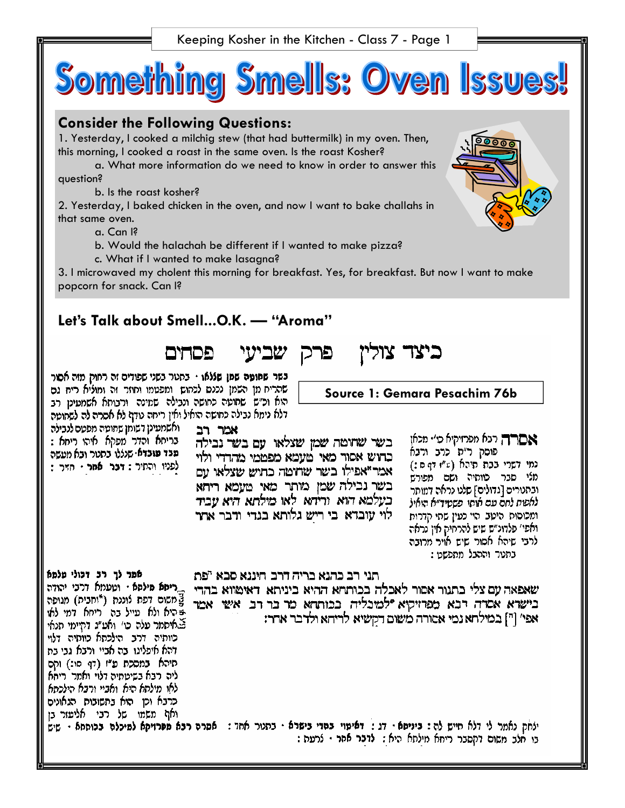Keeping Kosher in the Kitchen - Class 7 - Page 1



2. Yesterday, I baked chicken in the oven, and now I want to bake challahs in that same oven.

a. Can I?

- b. Would the halachah be different if I wanted to make pizza?
- c. What if I wanted to make lasagna?

3. I microwaved my cholent this morning for breakfast. Yes, for breakfast. But now I want to make popcorn for snack. Can I?

פרק.

# **Let's Talk about Smell...O.K. — "Aroma"**

פכוחים שביעי

בשר ש**חוטה שמן שללאו ·** בחטר בשני שפודים זה רחוק מזה אסור שהריח מן השמן נכנס לכחוש. ומפטמו וחוזר זה ומוליא ריח גם הוא וכ״ש שחופה כחושה ונבילה שמינה ורבוחא אשמעיט רב דלא נימא נבילה כתושה הואיל ואין ריחה טדף לא אסרה לה לשחופה

- ואשמעינן דשומו שמוטה מפטם לנבילה . בריחא והדר מפקא איהו ריחא : - פבד פובדא∙ שנללו בחטר ובא מטשה לפניו והתיר: דכר אמר · חזיר:

**Source 1: Gemara Pesachim 76b** 

כיצד צוליו

אמר רב בשר שחומה שמן שצלאו. עם בשר נבילה כחיש אסור מאי מעמא מפממי מהדדי ולוי אמר "אפילו בשר שרוטה כחוש שצלאו עם בשר נבילה שמן מותר מאי מעמא ריחא בעלמא הוא. וריחא. לאו מילתא היא עביד לוי עובדא. בי ריש גלותא בגדי ודבר אחר

אםרה רנא מפרזיקיא כו׳ מכאן פוסק ר״ת כרב ורבא נמי דשרי בבת מיהא (ע"ז דף ם:) מלי סבר כווחיה ושם מפורש ובתנורים [גדולים] שלנו נראה דמותר לאשת לחם עם אותו. פשטיד״א הואיל ומכוסות היטב הוי כעין שתי קדרות ואפי׳ פלדונ״ש שיש להרחיק אין נראה לרבי שיהא אסור שיש אויר מרובה . בתנור וההבל מתפשט

אמר לך רב דכולי עלמא \_ריחא מילסא · וטעמא דרבי יהודה\_ צֻלושום דפת לוננת (\*וחבית) מגופה בּהיא ולא עייל בה ריחא דמי לאו באיסמר עלה כי׳ ואט״ג דהיימי תנאי כוותיה דרב הילכתא כוותיה דלוי דהא איפליגו. בה אביי ורבא גבי בת תיהא במסכת ע"ז (דף סו:) וקם ליה רבא בשיטתיה דלוי ואמר ריהא לאו מילחא היא ואביי ורבא הילכחא כרבא וכן הוא בחשובות הגאונים ואף משמו של רבי אליעזר בן

תני רב כהנא בריה דרב. חיננא סבא "פת

שאפאה עם צלי בתנור אסור לאכלה בכותחא ההיא ביניתא. דאימווא בהדי בישרא אסדה דבא מפרזיקיא ילמיכליה בכותחא מר בר רב אשי אמר אפי' ["] במילחא נמי אסורה משום דקשיא לריחא ולדבר אחר:

ילחק נאמר לי דלא חייש לה: ביניסא · דג: דאיפוי בסדי בישרא · בתנור אחד: אסרה רבא מפרזיקא למיכלה בכוססא · שיש בי חלב משום דקסבר ריחא מילחא היא **: לדבר אחר** · לרעה :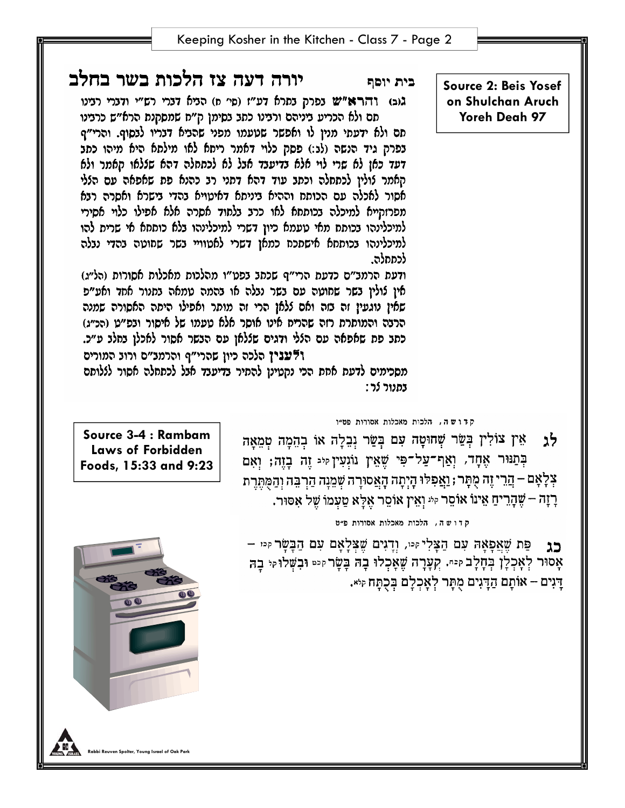**Source 2: Beis Yosef on Shulchan Aruch Yoreh Deah 97** 

# יורה דעה צז הלכות בשר בחלב

גוב) והרא"ש נפרק נתרא דע"ו (סי ח) הניא דנרי רש"י ודנרי רנינו תם ולא הכריע ביניהם ורבינו כתב בסימן ק״ח שמסקנת הרא״ש כרבינו

תם ולא ידעתי מנין לו ואפשר שטעמו מפני שהביא דבריו לבסוף. והרי״ף בפרק גיד הנשה (לג:) פסק כלוי דאמר ריחא לאו מילחא היא מיהו כתב דעד כאז לא שרי לוי אלא בדיעבד אבל לא לכתחלה דהא שללאו האמר ולא קאמר לולין לכתחלה וכתב עוד דהא דתני רב כהנא פת שאפאה עם הללי אסור לאכלה עם הכותח וההיא ביניתא דאיטויא בהדי בישרא ואסרה רבא מפרזקייא למיכלה בכוססא לאו כרב בלחוד אסרה אלא אפילו כלוי אסירי למיכלינהו בכוחח מאי טעמא כיון דשרי למיכלינהו בלא כוחחא אי שריח להו למיכלינהו בכוסחא אישתכח כמאן דשרי לאטוויי בשר שחוטה בהדי נבלה לכתחלה.

ודעת הרמצ"ם כדעת הרי"ף שכתב בפט"ו מהלכות מאכלות אסורות (הל"ג) אין לולין בשר שחוטה עם בשר נבלה או בהמה טמאה בחנור אחד ואע״פ שאין נוגעין זה בזה ואם ללאן הרי זה מותר ואפילו היתה האסורה שמנה הרצה והמוסרת רזה שהריח אינו אוסר אלא טעמו של איסור ובפ״ט (הכ״ג) כתב פת שאפאה עם הללי ודגים שללאן עם הבשר אסור לאכלן בחלב ע״כ. ולענין הלכה כיון שהרי"ף והרמנ"ס ורוב המורים

מסכימים לדעת אחת הכי נקטינן להתיר בדיעבד אבל לכתחלה אסור לללותם בתנור לר:

קדושה, הלכות מאכלות אסורות פט״ו

בית יוסף

אֵין צוֹלִין בְּשֵׂר שְׁחוּסָה עִם בְּשַׂר וְבִלְה אוֹ בְהֵמָה טְמֵאָה לנ בְּתַנּוּר אֶחָד, וְאַף־עַל־פִּי שֵׁאֵין וּוֹגְעִין זּיִּ זֶה בָזֶה; וְאִם צְלָאָם – הֲרֵי זֶה מֻתָּר ; וַאֲפִלּוּ הָיְתָה הָאֲסוּרָה שְׁמֵנָה הַרְבֵּה וְהַמְּתֶרֶת רְזָה – שֶׁהָרֵיחַ אֵינוֹ אוֹסֵר קּיּ וְאֵין אוֹסֵר אֲלַא טַעְמוֹ שֶׁל אִסּוּר.

קדושה, הלכות מאכלות אסורות פ״ט

פַּת שֶׁאֲפַאָה עִם הַצָּלִי זִּיּו, וְדֵגִים שֶׁצְלַאַם עִם הַבַּשַּׂר זִיּוּ – כנ אָסוּר לְאָכְלָן בְחָלָב קִיּה. קְעָרָה שֶׁאָכְלוּ בְהֹ בָּשָׂר קִיטּ וּבִשְּׁלוּ קִי בָה דָּגִים – אוֹתָם הַדָּגִים מֻתָּר לְאָכְלָם בְּכְתַּח קי×.

**Source 3-4 : Rambam Laws of Forbidden Foods, 15:33 and 9:23** 

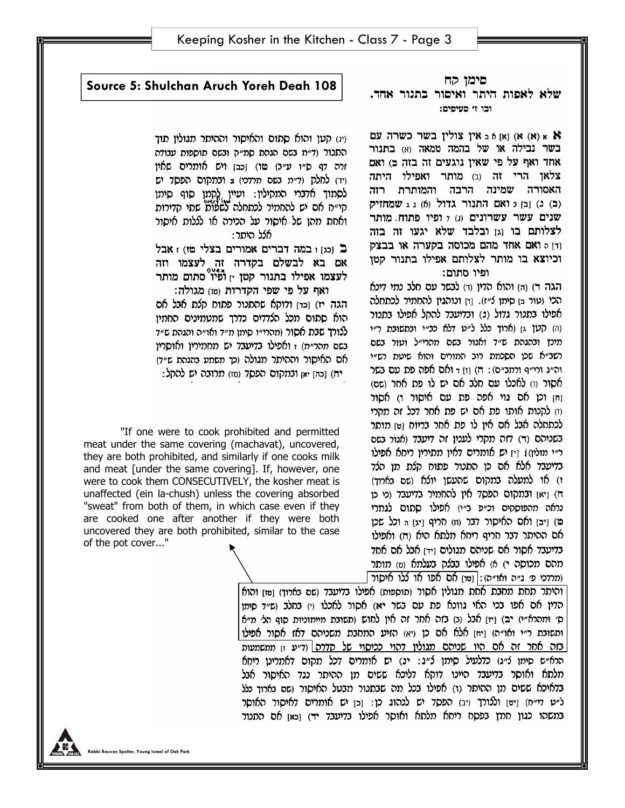### םימן קח שלא לאפות היתר ואיסור בתנור אחד. וכו ז' סעיפים:

א) א א אין צולין בשר כשרה עם (א) א א  $h$  (א) בשר נבילה או של בהמה טמאה (א) בתנור אחד ואף על פי שאין נוגעים זה בזה כ) ואם צלאן הרי זה וב) מותר ואפילו היתה האסורה שמינה הרבה והמותרת רזה (ב) ג) ובו כ ואם התנור גדול (6) נג שמחזיק שנים עשר עשרונים (ג) 7 ופיו פתוח. מותר לצלותם בו וגז ובלבד שלא יגעו זה בזה ודן 6 ואם אחד מהם מכוסה בקערה או בבצק וכיוצא בו מותר לצלותם אפילו בתנור קטן ופיו סתום:

הגה ד) והן והוא הדין וד) לבשר עם חלב נמי דינא הכי (טור בן סיתן צ׳׳ז). וּחַ וכוהגין להחמיר לכתחלה אפילו בתכור גדול (ג) ובדיעבד להקל אפילו בתכור (ה) קען גן (ארוך כלל ל״ט דלא כב״י ובתשובת ר״י תינץ ובהגהת ש״ד ואגור בשם תהרי״ל וטור בשם רשב״א שכן הסכמת רוב המורים והוא שיטת רש״י וה״ג ורי״ף ורתב״ם): ה) [ז] ד ואם אפה פת עם בשר אסור (ו) לאכלו עם חלב אם יש לו פת אחר (שם) וַחּן וֹכן אם גוי אפה פת עם איסור ו) אסור וז) לקכות אותו פת אם יש פת אחר דכל זה מהרי לכתחלה אבל אם אין לו פת אחר בריוח ו1 מותר בשניהם (ד) דזה מקרי לענין זה דיעבד (אגור בשם ר״י מולין) ו וין יש אומרים דאין מתירין ריחא אפילו בדיעבד אלא אם כן התנור פתוח קלת מן הלד ז) או למעלה במקום שהעשן יולא (שם בארוך) ה) [יא] ובמקום הפסד אין להחמיר בדיעבד (מ כן נראה מהפוסקים וכ״פ ב״י) אפילו סתום לגמרי מ) [יב] ואס האיסור דבר (ח) חריף [יג] ה וכל שכן אם ההיתר דבר חריף ריחא מלתא היא וה) ואפילו בדיעבד אסור אם שניהם מגולים וידן אבל אם אחד מהם מכוסה י) א) אפילו בבלק בעלמא (ט) מותר (מרדכי פ׳ ג״ה ואו״ה): [טוּן אָם אפו או ללו איסור]

**Source 5: Shulchan Aruch Yoreh Deah 108** 

ויג) קטן והוא סתום והאיסור וההיתר מגוליו תוד התנור (ד״מ נשם הגהת סמ״ק ונשם תוספות ענודה זרה דף ס״ו ע״ב) טו) וכבן ויש אומרים שאין (ד) לחלק (ד״מ בשם מרדכי) ב ובמקום הפסד יש לסמוד אדברי המהיליו: ועייו להמו סוף סימו קי״ח אם יש להחמיר לכתחלה לשלות שתי קדירות ואחת מהו של איסור על הכירה או לללות איסור אלל היתר:

ב ומזו במה דברים אמורים בצלי מז) : אבל אם בא לבשלם בקדרה זה לעצמו וזה לעצמו אפילו בתנור קטן <sub>י]</sub> ופיו<sup>0</sup>סתום מותר

ואף על פי שפי הקדרות (טו) מגולה: הגה יז) וכדן ודוקא שהתנור פתוח קלת אבל אם הוא סתום מכל הלדדים כדרך שמטמינים החמיו ללורך שבת אסור (מהרי״ו סימן מ״ד ואו״ה והגהת ש״ד בשם מהר״מ) ז ואפילו בדיעבד יש מחמירין ואוסריו אם האיסור וההיתר מגולה (כך משמע בהגהת ש״ד) יח) [כה] יאן ובמקום הפסד (טז) מרובה יש להקל:

"If one were to cook prohibited and permitted meat under the same covering (machavat), uncovered, they are both prohibited, and similarly if one cooks milk and meat [under the same covering]. If, however, one were to cook them CONSECUTIVELY, the kosher meat is unaffected (ein la-chush) unless the covering absorbed "sweat" from both of them, in which case even if they are cooked one after another if they were both uncovered they are both prohibited, similar to the case of the pot cover..."

> והיתר תחת מחבת אחת מגולין אסור (תוספות) אפילו בדיעבד (שם בארוך) [11] והוא | הדין אם אפו בכי האי גוונא פת עם בשר יא) אסור לאכלו ו׳) בחלב וש״ד סימן ס׳ ותהרא״י) יב) [יז] אבל (ב) בזה אחר זה אין לחוש (תשובת מיימוניות סוף הלי מ״א ותשובת ר״י ואו״ה) [יח] אלא אם כן ויא) הזיע המחבת משניהם דאז אסור אפ**י**לו| <u>בזה אחר זה אם היו שניהם מגולין דהוי ככיסוי של קדרה| (ד״ע זן ממשמעות</u> הרא״ש סימן צ״ג) כדלעיל סימן צ״ג: יג) יש אומרים דכל מקום דאמריטן ריחא מלתא ואוסר בדיעבד היינו דוקא דליכא ששים מן ההיתר נגד האיסור אבל בדאיכא ששים מן ההיתר (ו) אפילו בכל מה שבתנור מבטל האיסור (שם בארוך כלל ל״ט די״ח) [ים] וללורך (יב) הפסד יש לנהוג כן: [כ] יש אומרים דאיסור האוסר במשהו כגון חמץ בפסח ריחא מלתא ואוסר אפילו בדיעבד יד) [כא] אם התנור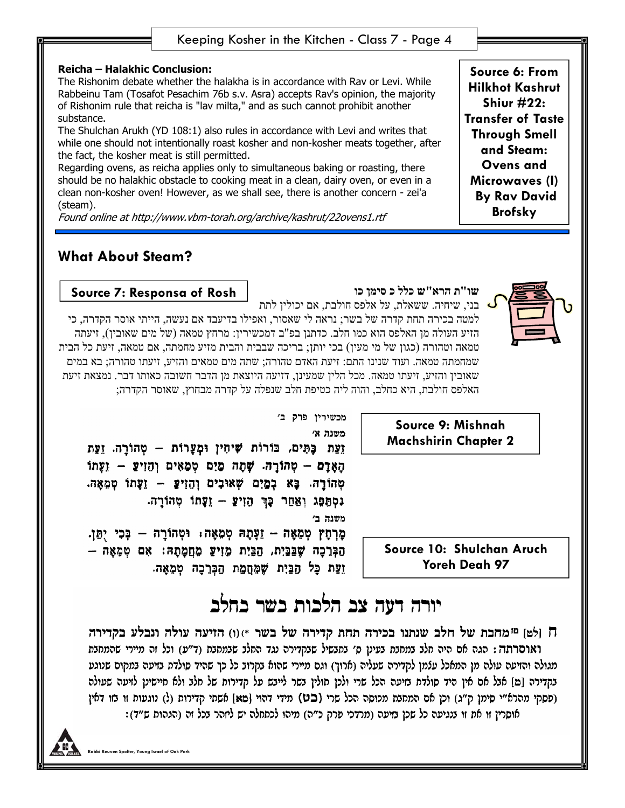### **Reicha – Halakhic Conclusion:**

The Rishonim debate whether the halakha is in accordance with Rav or Levi. While Rabbeinu Tam (Tosafot Pesachim 76b s.v. Asra) accepts Rav's opinion, the majority of Rishonim rule that reicha is "lav milta," and as such cannot prohibit another substance.

The Shulchan Arukh (YD 108:1) also rules in accordance with Levi and writes that while one should not intentionally roast kosher and non-kosher meats together, after the fact, the kosher meat is still permitted.

Regarding ovens, as reicha applies only to simultaneous baking or roasting, there should be no halakhic obstacle to cooking meat in a clean, dairy oven, or even in a clean non-kosher oven! However, as we shall see, there is another concern - zei'a (steam).

Found online at http://www.vbm-torah.org/archive/kashrut/22ovens1.rtf

## **What About Steam?**



**Source 6: From** 



## **שו"ת הרא"ש כלל כ סימן כו**

בני, שיחיה. ששאלת, על אלפס חולבת, אם יכולין לתת

**Source 7: Responsa of Rosh** 

למטה בכירה תחת קדרה של בשר; נראה לי שאסור, ואפילו בדיעבד אם נעשה, הייתי אוסר הקדרה, כי הזיע העולה מן האלפס הוא כמו חלב. כדתנן בפ"ב דמכשירין: מרחץ טמאה (של מים שאובין), זיעתה טמאה וטהורה (כגון של מי מעין) בכי יותן; בריכה שבבית והבית מזיע מחמתה, אם טמאה, זיעת כל הבית שמחמתה טמאה. ועוד שנינו התם: זיעת האדם טהורה; שתה מים טמאים והזיע, זיעתו טהורה; בא במים שאובין והזיע, זיעתו טמאה. מכל הלין שמעינן, דזיעה היוצאת מן הדבר חשובה כאותו דבר. נמצאת זיעת האלפס חולבת, היא כחלב, והוה ליה כטיפת חלב שנפלה על קדרה מבחוץ, שאוסר הקדרה;

> **Source 9: Mishnah Machshirin Chapter 2**

**Source 10: Shulchan Aruch Yoreh Deah 97** 

מכשירין פרק ב׳ משנה א׳ זֵעֲת כָּתִּים, בּוֹרוֹת שִׁיחִין וּמְעָרוֹת – טְהוֹרַה. זֵעֲת

הַאֲדָם – טְהוֹרָה. שָׁתָה מָיִם טְמָאִים וְהֶזִיעַ – זֵעָתוֹ מְהוֹרָה. כָּא בְמָיִם שָׁאוּבִים וְהָוִיִץַּ – זַעַּתוֹ מְמֵאֵה. נסְפָּג וְאַחַר כָּךְ הָזִיּץַ – זָעָתוֹ מְהוֹרָה. משנה ב'

מַרְחַץ מְמָאָה – וֵעֲתָהּ מְמָאָה: וּטְהוֹרֵה – בְּכִי יְתַּן. הַבְּרֵכָה שָׁבֵּבֵיִת, הַבֵּיִת מֵזִיעַ מִחֲמָהָה: אִם טִמָאָה – זַעַת כַּל הַכֵּיָת שָׁמֶחַמַת הַבְּרֵכָה טְמֶאֶה.

# יורה דעה צב הלכות בשר בחלב

ח ולטן ¤מחכת של חלב שנתנו בכירה תחת קדירה של בשר \*)(ו) הזיעה עולה ונבלע בקדירה ואוסרתה : הגה אם היה חלב במחבת בעינן ס׳ בתבשיל שבקדירה נגד החלב שבמחבת (ד״ע) וכל זה מיירי שהמחבת מגולה והזיעה עולה מן המאכל עלמן לקדירה שעליה (ארוך) וגם מיירי שהוא בקרוב כל כך שהיד סולדת בזיעה במקום שנוגע בקדירה [מ] אבל אם אין היד סולדת בזיעה הכל שרי ולכן חולין בשר לייבש על קדירות של חלב ולא חיישינן לזיעה שעולה (פסקי מהרא"י סימן ק"ג) וכן אם המחנת מכוסה הכל שרי (בט) מידי דהוי [מא] אשתי קדירות (ל) נוגעות זו נזו דאין אוסרין זו את זו בנגיעה כל שכן בזיעה (מרדכי פרק כ״ה) מיהו לכתחלה יש ליזהר בכל זה (הגהות ש״ד):

**Spolter, Young Israel of Oak Park**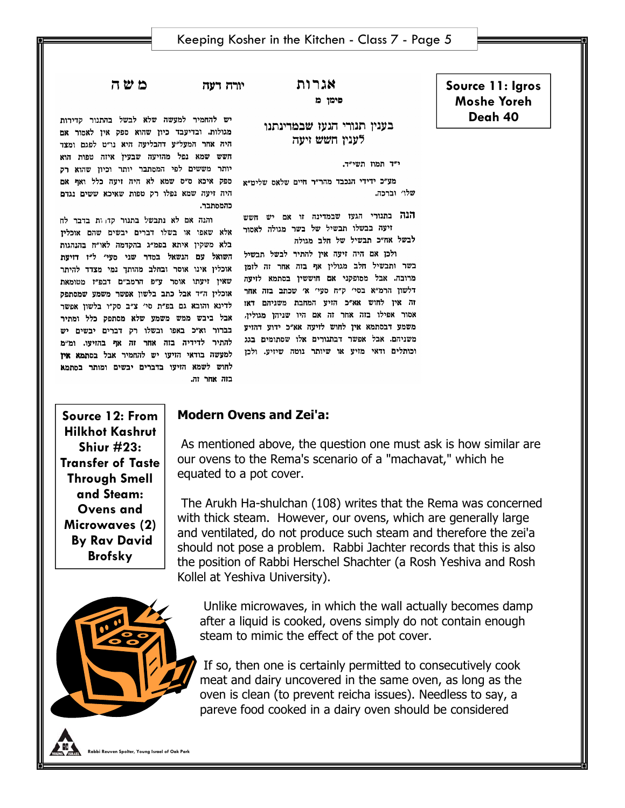**Source 11: Igros Moshe Yoreh Deah 40** 

## אגרות פימן מ

## בעניו תנורי הגעו שבמרינתנו לעניו חשש ויעה

י"ד תמוז תשי"ד.

מע״כ ידידי הנכבד מהר״ר חיים שלאס שליט״א שלו׳ וברכה.

הנה בתנורי הגעז שבמדינה זו אם יש חשש זיעה בבשלו תבשיל של בשר מגולה לאסור לבשל אח״כ תבשיל של חלב מגולה

ולכן אם היה זיעה אין להתיר לבשל תבשיל בשר ותבשיל חלב מגולין אף בזה אחר זה לזמן מרובה. אבל מסופקני אם חוששין בסתמא לזיעה אסור אפילו בזה אחר זה אם היו שניהן מגולין, אבל ביבש ממש משמע שלא מסתפק כלל ומתיר משניהם. אבל אפשר דבתגורים אלו שסתומים בגג וכותלים ודאי מזיע או שיותר גוטה שיזיע. ולכן

יש להחמיר למעשה שלא לבשל בהתנור קדירות מגולות. ובדיעבד כיון שהוא ספק איז לאמור אם

יורה דעה

コひわ

היה אחר המעל״ע דהבליעה היא נו״ט לפגם ומצד חשש שמא גפל מהזיעה שבעין איזה טפות הוא יותר מששים לפי המסתבר יותר וכיון שהוא רק ספק איכא ס״ס שמא לא היה זיעה כלל ואף אם היה זיעה שמא נפלו רק טפות שאיכא ששים נגדם כהמסתבר.

והנה אם לא נתבשל בתנור קדדות בדבר לח אלא שאפו או בשלו דברים יבשים שהם אוכליז בלא משקין איתא בפמ״ג בהקדמה לאו״ח בהנהגות השואל עם הגשאל בסדר שני סעי׳ ל״ז דזיעת אוכלין אינו אוסר ובחלב מהותך נמי מצדד להיתר שאין זיעתו אוסר ע״פ הרמב״ם דבפ״ז מטומאת דלשון הרמ״א בסי׳ ק״ח סעי׳ א׳ שכתב בזה אחר<br>בדי היי הראשון הרמ״א בסי׳ ק״ח סעי׳ א׳ שכתב בזה אחר אוכלין זו אבל כווב בלשון אפשר לשמטופע.<br>זה אין לחוש אא״כ הזיע המחבת משניהם דאו לדינא והובא גם בפ״ת סי׳ צ״ב סק״ו בלשון אפשר משמע דבסתמא אין לחוש לויעה אא״כ ידוע דהויע<br>משמע דבסתמא אין לחוש לויעה אא״כ ידוע דהויע - בברור וא״כ באפו ובשלו רק דברים יבשים יש להתיר לדידיה בזה אחר זה אף בהזיעו. ומ״מ למעשה בודאי הזיעו יש להחמיר אבל בסתמא אין לחוש לשמא הזיעו בדברים יבשים ומותר בסתמא בזה אחר זה.

**Source 12: From Hilkhot Kashrut Shiur #23: Transfer of Taste Through Smell and Steam: Ovens and Microwaves (2) By Rav David Brofsky** 



## **Modern Ovens and Zei'a:**

 As mentioned above, the question one must ask is how similar are our ovens to the Rema's scenario of a "machavat," which he equated to a pot cover.

 The Arukh Ha-shulchan (108) writes that the Rema was concerned with thick steam. However, our ovens, which are generally large and ventilated, do not produce such steam and therefore the zei'a should not pose a problem. Rabbi Jachter records that this is also the position of Rabbi Herschel Shachter (a Rosh Yeshiva and Rosh Kollel at Yeshiva University).

 Unlike microwaves, in which the wall actually becomes damp after a liquid is cooked, ovens simply do not contain enough steam to mimic the effect of the pot cover.

 If so, then one is certainly permitted to consecutively cook meat and dairy uncovered in the same oven, as long as the oven is clean (to prevent reicha issues). Needless to say, a pareve food cooked in a dairy oven should be considered

**Rabbi Republem Spolter, Young Israel of Oak Park**